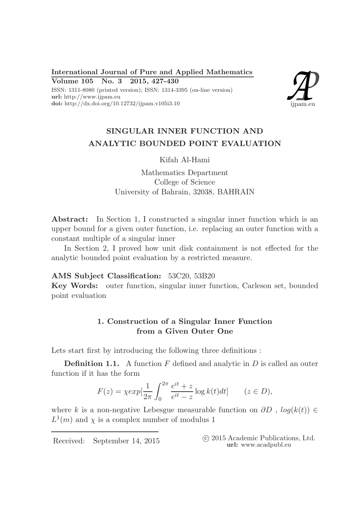International Journal of Pure and Applied Mathematics Volume 105 No. 3 2015, 427-430 ISSN: 1311-8080 (printed version); ISSN: 1314-3395 (on-line version) url: http://www.ijpam.eu doi: http://dx.doi.org/10.12732/ijpam.v105i3.10



# SINGULAR INNER FUNCTION AND ANALYTIC BOUNDED POINT EVALUATION

### Kifah Al-Hami

Mathematics Department College of Science University of Bahrain, 32038, BAHRAIN

Abstract: In Section 1, I constructed a singular inner function which is an upper bound for a given outer function, i.e. replacing an outer function with a constant multiple of a singular inner

In Section 2, I proved how unit disk containment is not effected for the analytic bounded point evaluation by a restricted measure.

### AMS Subject Classification: 53C20, 53B20

Key Words: outer function, singular inner function, Carleson set, bounded point evaluation

## 1. Construction of a Singular Inner Function from a Given Outer One

Lets start first by introducing the following three definitions :

**Definition 1.1.** A function  $F$  defined and analytic in  $D$  is called an outer function if it has the form

$$
F(z) = \chi \exp[\frac{1}{2\pi} \int_0^{2\pi} \frac{e^{it} + z}{e^{it} - z} \log k(t) dt] \qquad (z \in D),
$$

where k is a non-negative Lebesgue measurable function on  $\partial D$ ,  $log(k(t)) \in$  $L^1(m)$  and  $\chi$  is a complex number of modulus 1

Received: September 14, 2015 ( $\degree$  2015 Academic Publications, Ltd. url: www.acadpubl.eu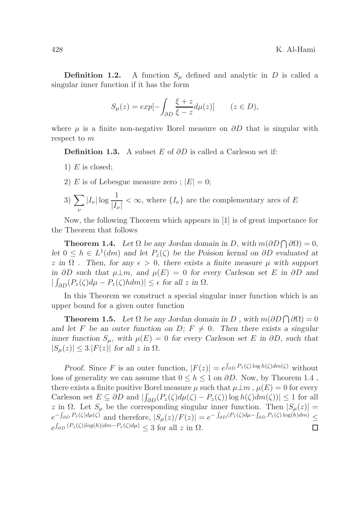**Definition 1.2.** A function  $S_u$  defined and analytic in D is called a singular inner function if it has the form

$$
S_{\mu}(z) = exp[-\int_{\partial D} \frac{\xi + z}{\xi - z} d\mu(z)] \qquad (z \in D),
$$

where  $\mu$  is a finite non-negative Borel measure on  $\partial D$  that is singular with respect to m

**Definition 1.3.** A subset E of  $\partial D$  is called a Carleson set if:

- 1)  $E$  is closed;
- 2) E is of Lebesgue measure zero;  $|E|=0$ ;
- $3) \sum$ ν  $|I_{\nu}| \log \frac{1}{|I_{\nu}|} < \infty$ , where  $\{I_{\nu}\}\$ are the complementary arcs of E

Now, the following Theorem which appears in [1] is of great importance for the Theorem that follows

**Theorem 1.4.** Let  $\Omega$  be any Jordan domain in D, with  $m(\partial D \cap \partial \Omega) = 0$ , let  $0 \leq h \in L^1(dm)$  and let  $P_z(\zeta)$  be the Poisson kernal on  $\partial D$  evaluated at z in  $\Omega$ . Then, for any  $\epsilon > 0$ , there exists a finite measure  $\mu$  with support in ∂D such that  $\mu \perp m$ , and  $\mu(E) = 0$  for every Carleson set E in ∂D and  $|\int_{\partial D} (P_z(\zeta)d\mu - P_z(\zeta)hdm)| \leq \epsilon$  for all z in  $\Omega$ .

In this Theorem we construct a special singular inner function which is an upper bound for a given outer function

**Theorem 1.5.** Let  $\Omega$  be any Jordan domain in D, with  $m(\partial D \cap \partial \Omega) = 0$ and let F be an outer function on D;  $F \neq 0$ . Then there exists a singular inner function  $S_{\mu}$ , with  $\mu(E) = 0$  for every Carleson set E in ∂D, such that  $|S_u(z)| \leq 3$ .  $|F(z)|$  for all z in  $\Omega$ .

Proof. Since F is an outer function,  $|F(z)| = e^{\int_{\partial D} P_z(\zeta) \log h(\zeta) dm(\zeta)}$  without loss of generality we can assume that  $0 \leq h \leq 1$  on  $\partial D$ . Now, by Theorem 1.4, there exists a finite positive Borel measure  $\mu$  such that  $\mu \perp m$ ,  $\mu(E) = 0$  for every Carleson set  $E \subseteq \partial D$  and  $\left| \int_{\partial D} (P_z(\zeta)d\mu(\zeta) - P_z(\zeta)) \log h(\zeta)d\mu(\zeta) \right| \leq 1$  for all z in  $\Omega$ . Let  $S_{\mu}$  be the corresponding singular inner function. Then  $|S_{\mu}(z)| =$  $e^{-\int_{\partial D} P_z(\zeta) d\mu(\zeta)}$  and therefore,  $|S_\mu(z)/F(z)| = e^{-\int_{\partial D} (P_z(\zeta) d\mu - \int_{\partial D} P_z(\zeta) \log(h) dm)} \le$  $e^{\int_{\partial D} (P_z(\zeta)|log(h)|dm-P_z(\zeta)d\mu)} \leq 3$  for all z in  $\Omega$ .  $\Box$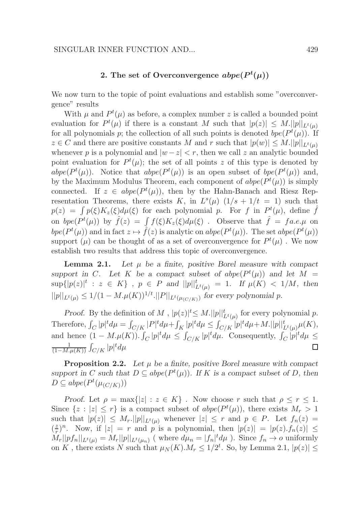## 2. The set of Overconvergence  $abpe(P^t(\mu))$

We now turn to the topic of point evaluations and establish some "overconvergence" results

With  $\mu$  and  $P^t(\mu)$  as before, a complex number z is called a bounded point evaluation for  $P^t(\mu)$  if there is a constant M such that  $|p(z)| \leq M$ .  $||p||_{L^t(\mu)}$ for all polynomials p; the collection of all such points is denoted  $bpe(P^t(\mu))$ . If  $z \in C$  and there are positive constants M and r such that  $|p(w)| \leq M$ .  $||p||_{L^t(\mu)}$ whenever p is a polynomial and  $|w-z| < r$ , then we call z an analytic bounded point evaluation for  $P^t(\mu)$ ; the set of all points z of this type is denoted by abpe( $P^t(\mu)$ ). Notice that abpe( $P^t(\mu)$ ) is an open subset of bpe( $P^t(\mu)$ ) and, by the Maximum Modulus Theorem, each component of  $abpe(P^t(\mu))$  is simply connected. If  $z \in abpe(P^t(\mu))$ , then by the Hahn-Banach and Riesz Representation Theorems, there exists K, in  $L^s(\mu)$   $(1/s + 1/t = 1)$  such that  $p(z) = \int p(\xi)K_z(\xi)d\mu(\xi)$  for each polynomial p. For f in  $P^t(\mu)$ , define  $\hat{f}$ on  $bpe(P^t(\mu))$  by  $\hat{f}(z) = \int f(\xi)K_z(\xi)d\mu(\xi)$ . Observe that  $\hat{f} = fa.e.\mu$  on bpe( $P^t(\mu)$ ) and in fact  $z \mapsto \hat{f}(z)$  is analytic on abpe( $P^t(\mu)$ ). The set abpe( $P^t(\mu)$ ) support  $(\mu)$  can be thought of as a set of overconvergence for  $P^t(\mu)$ . We now establish two results that address this topic of overconvergence.

**Lemma 2.1.** Let  $\mu$  be a finite, positive Borel measure with compact support in C. Let K be a compact subset of  $abpe(P^t(\mu))$  and let  $M =$  $\sup\{|p(z)|^t : z \in K\}$ ,  $p \in P$  and  $||p||_{L^t(\mu)}^t = 1$ . If  $\mu(K) < 1/M$ , then  $||p||_{L^t(\mu)} \leq 1/(1-M.\mu(K))^{1/t}$ .  $||P||_{L^t(\mu_{(C/K)})}$  for every polynomial p.

*Proof.* By the definition of M,  $|p(z)|^t \leq M$ .  $||p||_{L^t(\mu)}^t$  for every polynomial p. Therefore,  $\int_C |p|^t d\mu = \int_{C/K} |P|^t d\mu + \int_K |p|^t d\mu \le \int_{C/K} |p|^t d\mu + M. ||p||_{L^t(\mu)}^t \mu(K),$ and hence  $(1 - M.\mu(K))$ .  $\int_C |p|^t d\mu \leq \int_{C/K} |p|^t d\mu$ . Consequently,  $\int_C |p|^t d\mu \leq$  $\frac{1}{(1-M.\mu(K))} \int_{C/K} |p|^t d\mu$ 1 П

**Proposition 2.2.** Let  $\mu$  be a finite, positive Borel measure with compact support in C such that  $D \subseteq abpe(P^t(\mu))$ . If K is a compact subset of D, then  $D \subseteq abpe(P^t(\mu_{(C/K)}))$ 

Proof. Let  $\rho = \max\{|z| : z \in K\}$ . Now choose r such that  $\rho \le r \le 1$ . Since  $\{z : |z| \leq r\}$  is a compact subset of  $abpe(P^t(\mu))$ , there exists  $M_r > 1$ such that  $|p(z)| \leq M_r$ .  $||p||_{L^t(\mu)}$  whenever  $|z| \leq r$  and  $p \in P$ . Let  $f_n(z) =$  $\left(\frac{z}{r}\right)$  $\frac{z}{r}$ )<sup>n</sup>. Now, if  $|z| = r$  and p is a polynomial, then  $|p(z)| = |p(z) \cdot f_n(z)| \le$  $M_r||pf_n||_{L^t(\mu)} = M_r||p||_{L^t(\mu_n)}$  (where  $d\mu_n = |f_n|^t d\mu$ ). Since  $f_n \to o$  uniformly on K, there exists N such that  $\mu_N(K)$ . $M_r \leq 1/2^t$ . So, by Lemma 2.1,  $|p(z)| \leq$